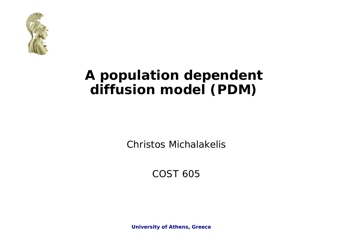

### **A population dependent diffusion model (PDM)**

Christos Michalakelis

COST 605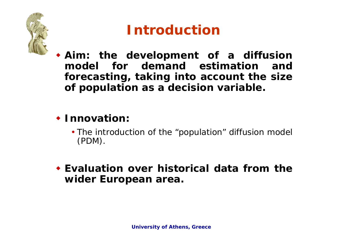

# **Introduction**

 **Aim: the development of a diffusion model for demand estimation and forecasting, taking into account the size of population as a decision variable.**

### **Innovation:**

- The introduction of the "population" diffusion model (PDM).
- **Evaluation over historical data from thewider European area.**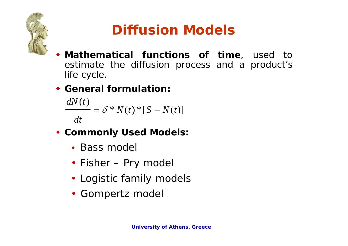

# **Diffusion Models**

- ♦ **Mathematical functions of time**, used to estimate the diffusion process and a product's life cycle.
- **General formulation:**

 $\frac{dN(t)}{dt} = \delta * N(t) * [S - N(t)]$ *dt*

- **Commonly Used Models:**
	- Bass model
	- Fisher Pry model
	- Logistic family models
	- Gompertz model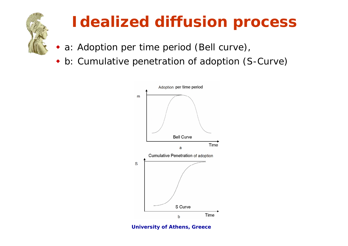

# **Idealized diffusion process**

- ♦ a: Adoption per time period (Bell curve),
- ♦ b: Cumulative penetration of adoption (S-Curve)



**University of Athens, Greece**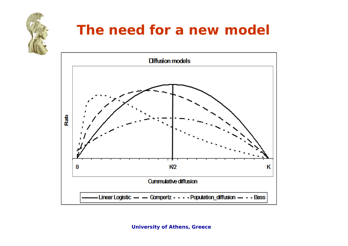

### **The need for a new model**

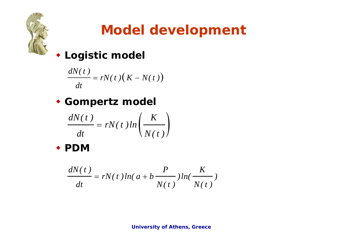

# **Model development**

### **Logistic model**

$$
\frac{dN(t)}{dt} = rN(t)(K - N(t))
$$

### **Gompertz model**

$$
\frac{dN(t)}{dt} = rN(t) \ln\left(\frac{K}{N(t)}\right)
$$

**PDM**

$$
\frac{dN(t)}{dt} = rN(t)ln(a+b\frac{P}{N(t)})ln(\frac{K}{N(t)})
$$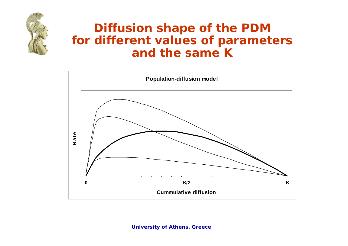

### **Diffusion shape of the PDM for different values of parameters and the same K**

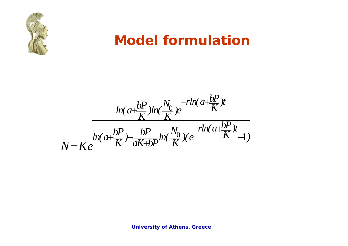

### **Model formulation**

 $\rm 0$  $\frac{0}{5}$  )(e K  $-1$ *rln(*  $a + \frac{bP}{K}$  )t *rln(*  $a + \frac{bP}{K}$  )t  $ln(a+\frac{bP}{K})ln(\frac{N_{0}}{K})e$  $N = Ke$   $\frac{ln(a + \frac{bP}{K}) + \frac{bP}{aK + bP}ln(\frac{N_0}{K}) (e^{-rln(a + \frac{bP}{K})t} - 1)}$ —rln( a+÷ —rln( a+±  $\pm$  $+\frac{\sigma}{\sigma}$  +  $\frac{\sigma}{\sigma}$   $\ln |\frac{\theta}{\sigma}|$  +  $\theta$  +  $\frac{\sigma}{\sigma}$  +  $\frac{\sigma}{\sigma}$  $=$   $K\rho$   $K$   $aK+$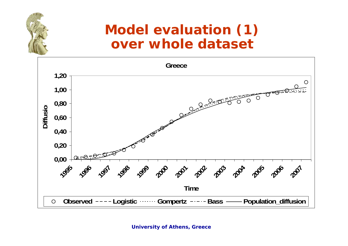### **Model evaluation (1) over whole dataset**

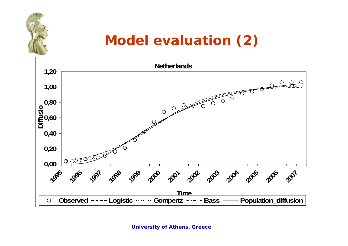## **Model evaluation (2)**

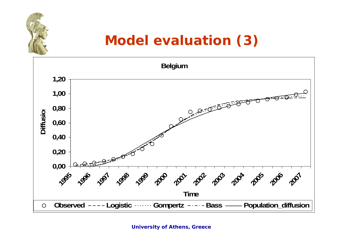# **Model evaluation (3)**

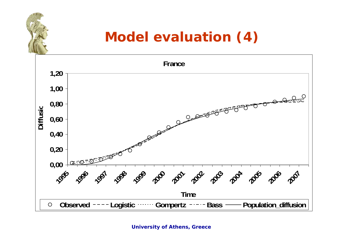# **Model evaluation (4)**

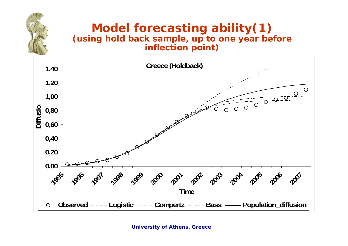#### **Model forecasting ability(1) (using hold back sample, up to one year before inflection point)**

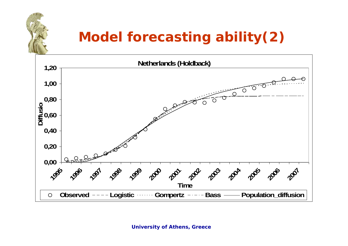# **Model forecasting ability(2)**

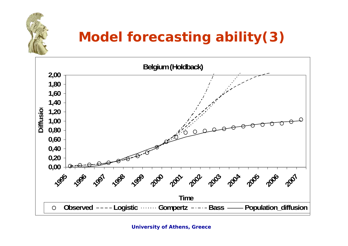

# **Model forecasting ability(3)**

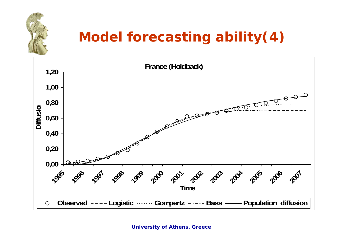# **Model forecasting ability(4)**

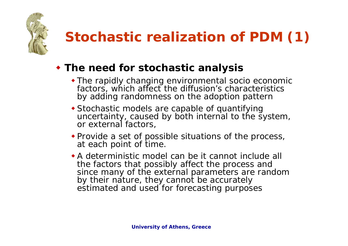

# **Stochastic realization of PDM (1)**

#### **The need for stochastic analysis**

- The rapidly changing environmental socio economic factors, which affect the diffusion's characteristics by adding randomness on the adoption pattern
- Stochastic models are capable of quantifying uncertainty, caused by both internal to the system, or external factors,
- Provide a set of possible situations of the process, at each point of time.
- A deterministic model can be it cannot include all the factors that possibly affect the process and since many of the external parameters are random by their nature, they cannot be accurately estimated and used for forecasting purposes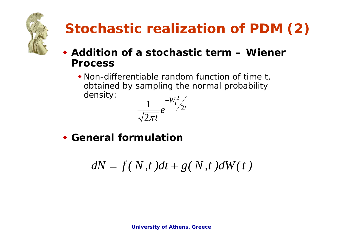

# **Stochastic realization of PDM (2)**

- **Addition of a stochastic term – Wiener Process** 
	- Non-differentiable random function of time t, obtained by sampling the normal probability density: 2



**General formulation**

$$
dN = f(N, t)dt + g(N, t)dW(t)
$$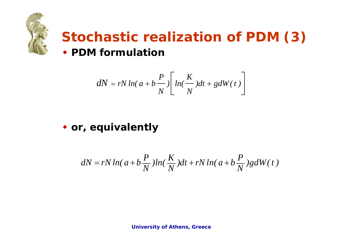

### **Stochastic realization of PDM (3) PDM formulation**

$$
dN = rN \ln(a+b\frac{P}{N}) \left[ \ln(\frac{K}{N})dt + gdW(t) \right]
$$

#### **or, equivalently**

$$
dN = rN\ln(a+b\frac{P}{N})\ln(\frac{K}{N})dt + rN\ln(a+b\frac{P}{N})gdW(t)
$$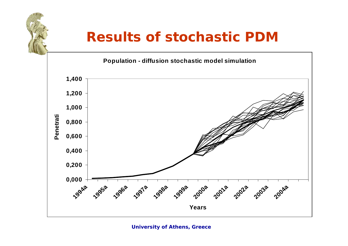### **Results of stochastic PDM**

**Population - diffusion stochastic model simulation**

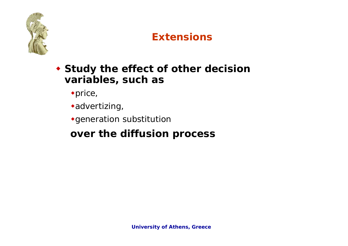

#### **Extensions**

- **Study the effect of other decision variables, such as** 
	- price,
	- advertizing,
	- generation substitution

### **over the diffusion process**